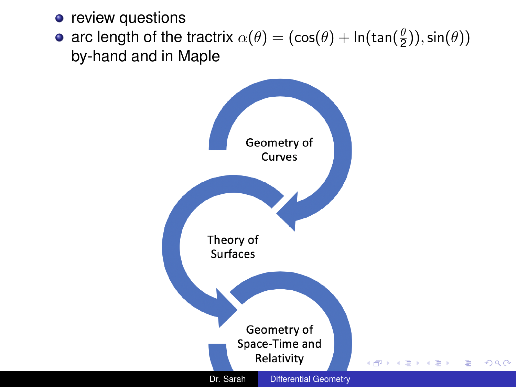- <span id="page-0-0"></span>**o** review questions
- arc length of the tractrix  $\alpha(\theta) = (\cos(\theta) + \ln(\tan(\frac{\theta}{2})), \sin(\theta))$ by-hand and in Maple

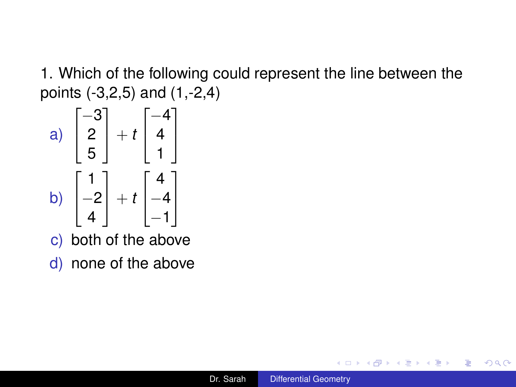1. Which of the following could represent the line between the points (-3,2,5) and (1,-2,4)



- c) both of the above
- d) none of the above

K ロ ⊁ K 個 ≯ K 君 ⊁ K 君 ⊁

B

 $QQ$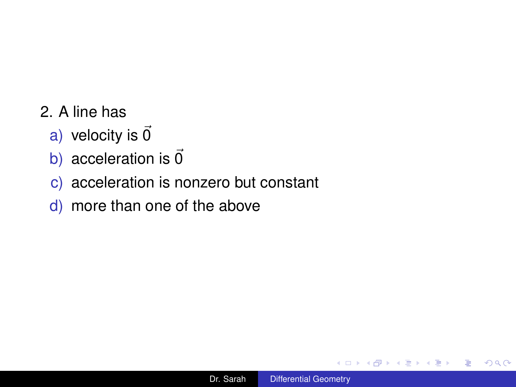- 2. A line has
	- a) velocity is  $\vec{0}$
	- b) acceleration is  $\vec{0}$
	- c) acceleration is nonzero but constant
	- d) more than one of the above

 $\leftarrow$ 

包  $\sim$ - 4 周 ト 4

 $\equiv$ 

 $\equiv$ 

 $2990$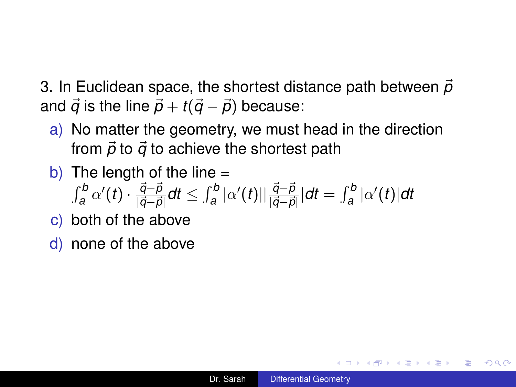3. In Euclidean space, the shortest distance path between  $\vec{p}$ and  $\vec{q}$  is the line  $\vec{p} + t(\vec{q} - \vec{p})$  because:

- a) No matter the geometry, we must head in the direction from  $\vec{p}$  to  $\vec{q}$  to achieve the shortest path
- b) The length of the line  $=$

$$
\int_a^b \alpha'(t) \cdot \frac{\vec{q}-\vec{p}}{|\vec{q}-\vec{p}|} dt \leq \int_a^b |\alpha'(t)| |\frac{\vec{q}-\vec{p}}{|\vec{q}-\vec{p}|} dt = \int_a^b |\alpha'(t)| dt
$$

- c) both of the above
- d) none of the above

K 何 ▶ K ヨ ▶ K ヨ ▶

B

 $QQ$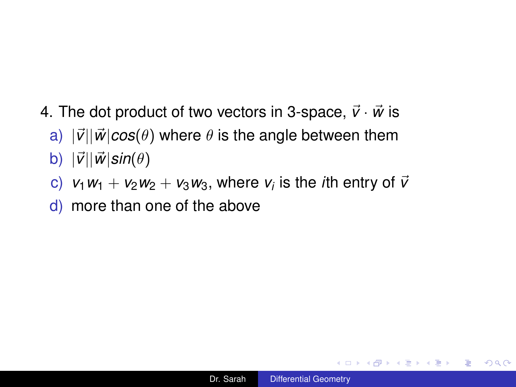- 4. The dot product of two vectors in 3-space,  $\vec{v} \cdot \vec{w}$  is
	- a)  $|\vec{v}||\vec{w}|cos(\theta)$  where  $\theta$  is the angle between them b)  $|\vec{v}||\vec{w}|\sin(\theta)$
	- c)  $v_1w_1 + v_2w_2 + v_3w_3$ , where  $v_i$  is the *i*th entry of  $\bar{v}$
	- d) more than one of the above

重し

 $2Q$ 

K 何 ▶ K ヨ ▶ K ヨ ▶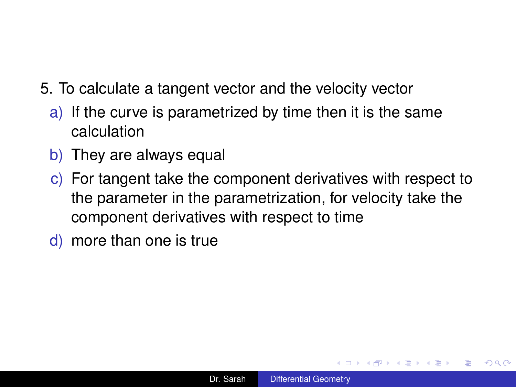- 5. To calculate a tangent vector and the velocity vector
	- a) If the curve is parametrized by time then it is the same calculation
	- b) They are always equal
	- c) For tangent take the component derivatives with respect to the parameter in the parametrization, for velocity take the component derivatives with respect to time
	- d) more than one is true

イロメ イ押 メイヨメ イヨメ

÷.  $QQ$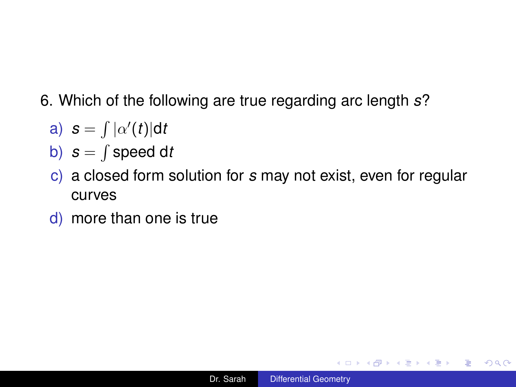- 6. Which of the following are true regarding arc length *s*?
	- a)  $s = \int |\alpha'(t)| dt$
	- b) *s* = R speed d*t*
	- c) a closed form solution for *s* may not exist, even for regular curves
	- d) more than one is true

 $\equiv$  990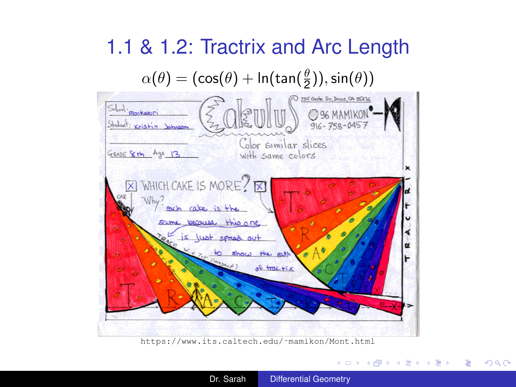

[https://www.its.caltech.edu/˜mamikon/Mont.html](https://www.its.caltech.edu/~mamikon/Mont.html)

**K ロ ▶ K 何 ▶ K ヨ ▶ K ヨ ▶** 

 $\equiv$ 

 $2990$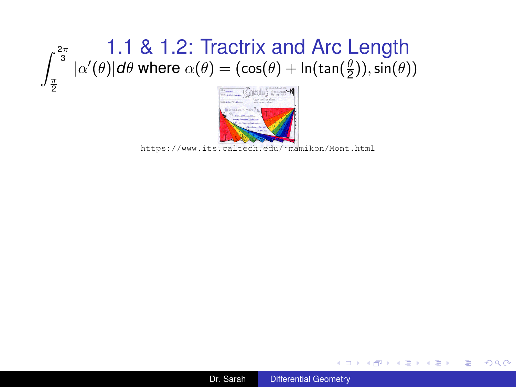# $\int_{\pi}^{\frac{2\pi}{3}} |\alpha'(\theta)| d\theta$  where  $\alpha(\theta) = (\cos(\theta) + \ln(\tan(\frac{\theta}{2})) , \sin(\theta))$ π

2



[https://www.its.caltech.edu/˜mamikon/Mont.html](https://www.its.caltech.edu/~mamikon/Mont.html)



重し

 $QQ$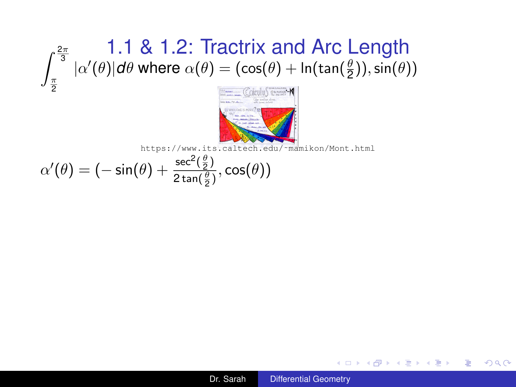# $\int_{\pi}^{\frac{2\pi}{3}} |\alpha'(\theta)| d\theta$  where  $\alpha(\theta) = (\cos(\theta) + \ln(\tan(\frac{\theta}{2})) , \sin(\theta))$ π



[https://www.its.caltech.edu/˜mamikon/Mont.html](https://www.its.caltech.edu/~mamikon/Mont.html)

$$
\alpha'(\theta) = (-\sin(\theta) + \frac{\sec^2(\frac{\theta}{2})}{2\tan(\frac{\theta}{2})}, \cos(\theta))
$$

2

重し

 $QQ$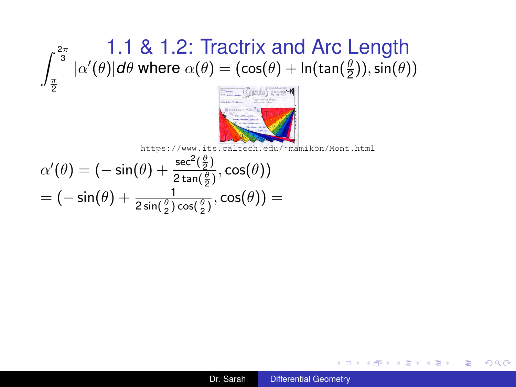# $\int_{\pi}^{\frac{2\pi}{3}} |\alpha'(\theta)| d\theta$  where  $\alpha(\theta) = (\cos(\theta) + \ln(\tan(\frac{\theta}{2})) , \sin(\theta))$ π



[https://www.its.caltech.edu/˜mamikon/Mont.html](https://www.its.caltech.edu/~mamikon/Mont.html)

$$
\alpha'(\theta) = (-\sin(\theta) + \frac{\sec^2(\frac{\theta}{2})}{2\tan(\frac{\theta}{2})}, \cos(\theta))
$$
  
= (-\sin(\theta) + \frac{1}{2\sin(\frac{\theta}{2})\cos(\frac{\theta}{2})}, \cos(\theta)) =

2

重し

 $QQ$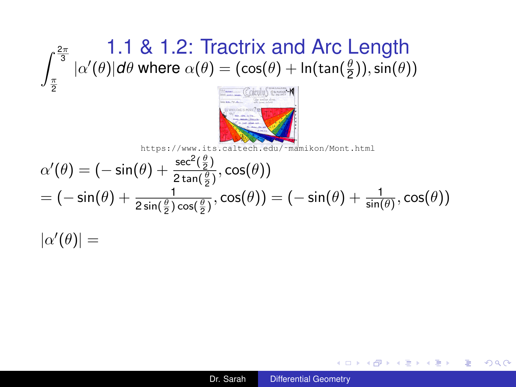

[https://www.its.caltech.edu/˜mamikon/Mont.html](https://www.its.caltech.edu/~mamikon/Mont.html) θ

$$
\alpha'(\theta) = (-\sin(\theta) + \frac{\sec^2(\frac{\theta}{2})}{2\tan(\frac{\theta}{2})}, \cos(\theta))
$$
  
= (-\sin(\theta) + \frac{1}{2\sin(\frac{\theta}{2})\cos(\frac{\theta}{2})}, \cos(\theta)) = (-\sin(\theta) + \frac{1}{\sin(\theta)}, \cos(\theta))  
|\alpha'(\theta)| =

K 何 ▶ K ヨ ▶ K ヨ ▶

4 0 8

重し  $2990$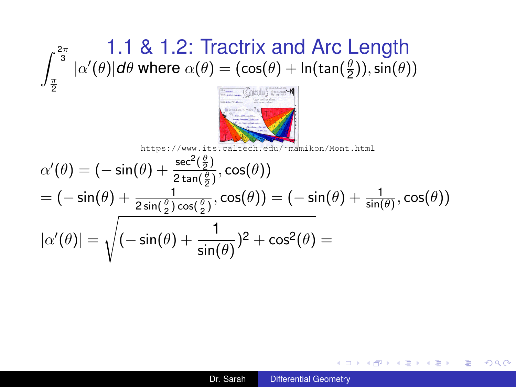

$$
\alpha'(\theta) = (-\sin(\theta) + \frac{\sec^2(\frac{\theta}{2})}{2\tan(\frac{\theta}{2})}, \cos(\theta))
$$
\n
$$
= (-\sin(\theta) + \frac{1}{2\tan(\frac{\theta}{2})}, \cos(\theta))
$$
\n
$$
|\alpha'(\theta)| = \sqrt{(-\sin(\theta) + \frac{1}{\sin(\theta)})^2 + \cos^2(\theta)} =
$$

K 何 ▶ K ヨ ▶ K ヨ ▶

4 0 8

 $\Rightarrow$  $2990$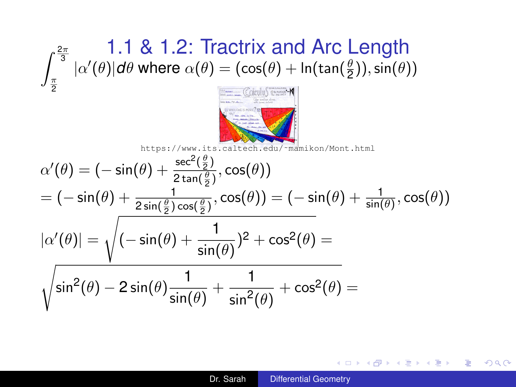

$$
\alpha'(\theta) = (-\sin(\theta) + \frac{\sec^2(\frac{\theta}{2})}{2\tan(\frac{\theta}{2})}, \cos(\theta))
$$
  
\n=  $(-\sin(\theta) + \frac{1}{2\sin(\frac{\theta}{2})\cos(\frac{\theta}{2})}, \cos(\theta)) = (-\sin(\theta) + \frac{1}{\sin(\theta)}, \cos(\theta))$   
\n
$$
|\alpha'(\theta)| = \sqrt{(-\sin(\theta) + \frac{1}{\sin(\theta)})^2 + \cos^2(\theta)} =
$$
  
\n
$$
\sqrt{\sin^2(\theta) - 2\sin(\theta)\frac{1}{\sin(\theta)} + \frac{1}{\sin^2(\theta)} + \cos^2(\theta)} =
$$

÷.

 $QQ$ 

御 ▶ す 君 ▶ す 君 ▶ …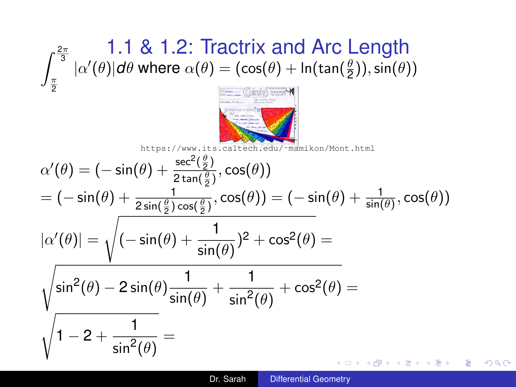

$$
\alpha'(\theta) = (-\sin(\theta) + \frac{\sec^2(\frac{\theta}{2})}{2\tan(\frac{\theta}{2})}, \cos(\theta))
$$
  
\n
$$
= (-\sin(\theta) + \frac{1}{2\sin(\frac{\theta}{2})\cos(\frac{\theta}{2})}, \cos(\theta)) = (-\sin(\theta) + \frac{1}{\sin(\theta)}, \cos(\theta))
$$
  
\n
$$
|\alpha'(\theta)| = \sqrt{(-\sin(\theta) + \frac{1}{\sin(\theta)})^2 + \cos^2(\theta)} =
$$
  
\n
$$
\sqrt{\sin^2(\theta) - 2\sin(\theta)\frac{1}{\sin(\theta)} + \frac{1}{\sin^2(\theta)} + \cos^2(\theta)} =
$$
  
\n
$$
\sqrt{1 - 2 + \frac{1}{\sin^2(\theta)}} =
$$

4 0 8

÷.

 $QQ$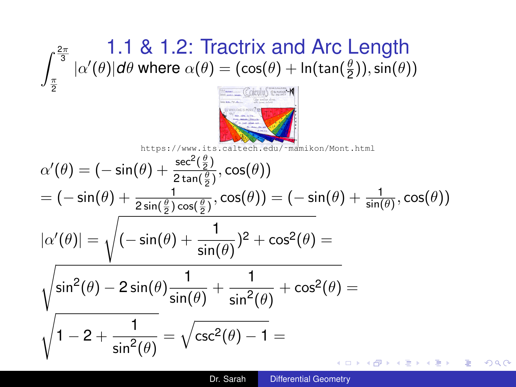

$$
\alpha'(\theta) = (-\sin(\theta) + \frac{\sec^2(\frac{\theta}{2})}{2\tan(\frac{\theta}{2})}, \cos(\theta))
$$
  
\n
$$
= (-\sin(\theta) + \frac{1}{2\sin(\frac{\theta}{2})\cos(\frac{\theta}{2})}, \cos(\theta)) = (-\sin(\theta) + \frac{1}{\sin(\theta)}, \cos(\theta))
$$
  
\n
$$
|\alpha'(\theta)| = \sqrt{(-\sin(\theta) + \frac{1}{\sin(\theta)})^2 + \cos^2(\theta)} =
$$
  
\n
$$
\sqrt{\sin^2(\theta) - 2\sin(\theta)\frac{1}{\sin(\theta)} + \frac{1}{\sin^2(\theta)} + \cos^2(\theta)} =
$$
  
\n
$$
\sqrt{1 - 2 + \frac{1}{\sin^2(\theta)}} = \sqrt{\csc^2(\theta) - 1} =
$$

 $2990$ 

÷.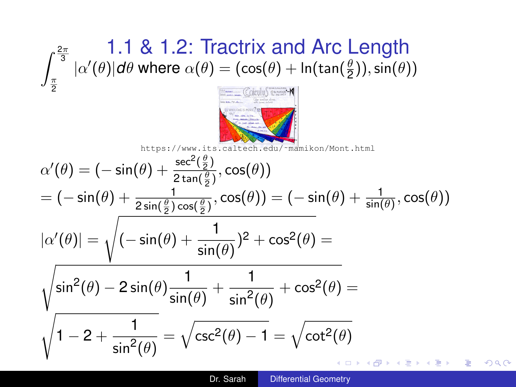

$$
\alpha'(\theta) = (-\sin(\theta) + \frac{\sec^2(\frac{\theta}{2})}{2\tan(\frac{\theta}{2})}, \cos(\theta))
$$
  
\n
$$
= (-\sin(\theta) + \frac{1}{2\sin(\frac{\theta}{2})\cos(\frac{\theta}{2})}, \cos(\theta)) = (-\sin(\theta) + \frac{1}{\sin(\theta)}, \cos(\theta))
$$
  
\n
$$
|\alpha'(\theta)| = \sqrt{(-\sin(\theta) + \frac{1}{\sin(\theta)})^2 + \cos^2(\theta)} =
$$
  
\n
$$
\sqrt{\sin^2(\theta) - 2\sin(\theta)\frac{1}{\sin(\theta)} + \frac{1}{\sin^2(\theta)} + \cos^2(\theta)} =
$$
  
\n
$$
\sqrt{1 - 2 + \frac{1}{\sin^2(\theta)}} = \sqrt{\csc^2(\theta) - 1} = \sqrt{\cot^2(\theta)}
$$

 $\equiv$ 

 $2990$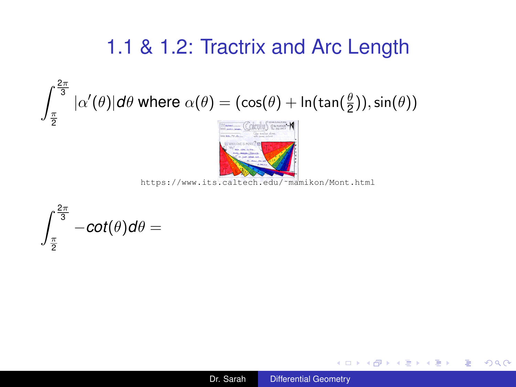$$
\int_{\frac{\pi}{2}}^{\frac{2\pi}{3}} |\alpha'(\theta)| d\theta \text{ where } \alpha(\theta) = (\cos(\theta) + \ln(\tan(\frac{\theta}{2})), \sin(\theta))
$$



[https://www.its.caltech.edu/˜mamikon/Mont.html](https://www.its.caltech.edu/~mamikon/Mont.html)

$$
\int_{\frac{\pi}{2}}^{\frac{2\pi}{3}}-cot(\theta)d\theta=
$$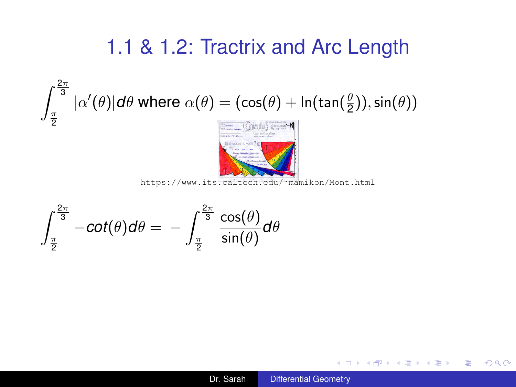$$
\int_{\frac{\pi}{2}}^{\frac{2\pi}{3}} |\alpha'(\theta)| d\theta
$$
 where  $\alpha(\theta) = (\cos(\theta) + \ln(\tan(\frac{\theta}{2})), \sin(\theta))$ 



[https://www.its.caltech.edu/˜mamikon/Mont.html](https://www.its.caltech.edu/~mamikon/Mont.html)

$$
\int_{\frac{\pi}{2}}^{\frac{2\pi}{3}}-cot(\theta)d\theta=-\int_{\frac{\pi}{2}}^{\frac{2\pi}{3}}\frac{cos(\theta)}{sin(\theta)}d\theta
$$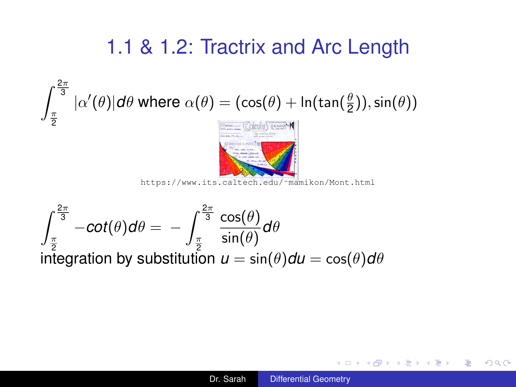$$
\int_{\frac{\pi}{2}}^{\frac{\pi}{3}} |\alpha'(\theta)| d\theta
$$
 where  $\alpha(\theta) = (\cos(\theta) + \ln(\tan(\frac{\theta}{2}))$ ,  $\sin(\theta)$ )

 $n^2$ 



[https://www.its.caltech.edu/˜mamikon/Mont.html](https://www.its.caltech.edu/~mamikon/Mont.html)

$$
\int_{\frac{\pi}{2}}^{\frac{2\pi}{3}} -\cot(\theta)d\theta = -\int_{\frac{\pi}{2}}^{\frac{2\pi}{3}} \frac{\cos(\theta)}{\sin(\theta)}d\theta
$$
  
integration by substitution  $u = \sin(\theta)d\theta = \cos(\theta)d\theta$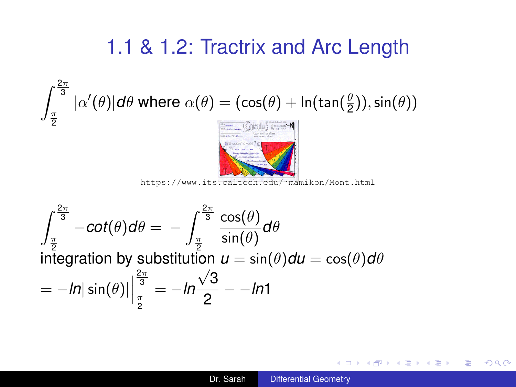$$
\int_{\frac{\pi}{2}}^{\frac{\pi}{2}} |\alpha'(\theta)| d\theta \text{ where } \alpha(\theta) = (\cos(\theta) + \ln(\tan(\frac{\theta}{2})), \sin(\theta))
$$

 $n^2$ 



[https://www.its.caltech.edu/˜mamikon/Mont.html](https://www.its.caltech.edu/~mamikon/Mont.html)

$$
\int_{\frac{\pi}{2}}^{\frac{2\pi}{3}} -\cot(\theta)d\theta = -\int_{\frac{\pi}{2}}^{\frac{2\pi}{3}} \frac{\cos(\theta)}{\sin(\theta)}d\theta
$$
  
integration by substitution  $u = \sin(\theta)du = \cos(\theta)d\theta$   

$$
= -\ln|\sin(\theta)|\Big|_{\frac{\pi}{2}}^{\frac{2\pi}{3}} = -\ln\frac{\sqrt{3}}{2} - \ln 1
$$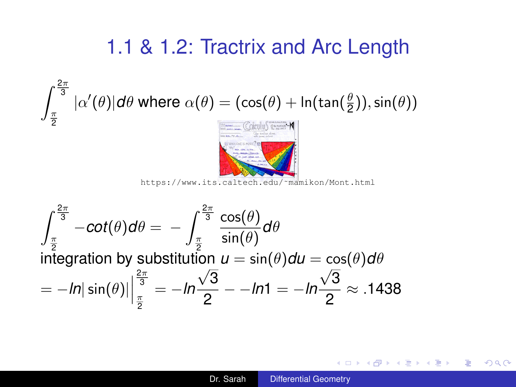<span id="page-21-0"></span>
$$
\int_{\frac{\pi}{2}}^{\frac{2\pi}{3}} |\alpha'(\theta)| d\theta \text{ where } \alpha(\theta) = (\cos(\theta) + \ln(\tan(\frac{\theta}{2})), \sin(\theta))
$$



[https://www.its.caltech.edu/˜mamikon/Mont.html](https://www.its.caltech.edu/~mamikon/Mont.html)

$$
\int_{\frac{\pi}{2}}^{\frac{2\pi}{3}} -\cot(\theta)d\theta = -\int_{\frac{\pi}{2}}^{\frac{2\pi}{3}} \frac{\cos(\theta)}{\sin(\theta)}d\theta
$$
  
integration by substitution  $u = \sin(\theta)du = \cos(\theta)d\theta$   

$$
= -\ln|\sin(\theta)|\Big|_{\frac{\pi}{2}}^{\frac{2\pi}{3}} = -\ln\frac{\sqrt{3}}{2} - -\ln 1 = -\ln\frac{\sqrt{3}}{2} \approx .1438
$$